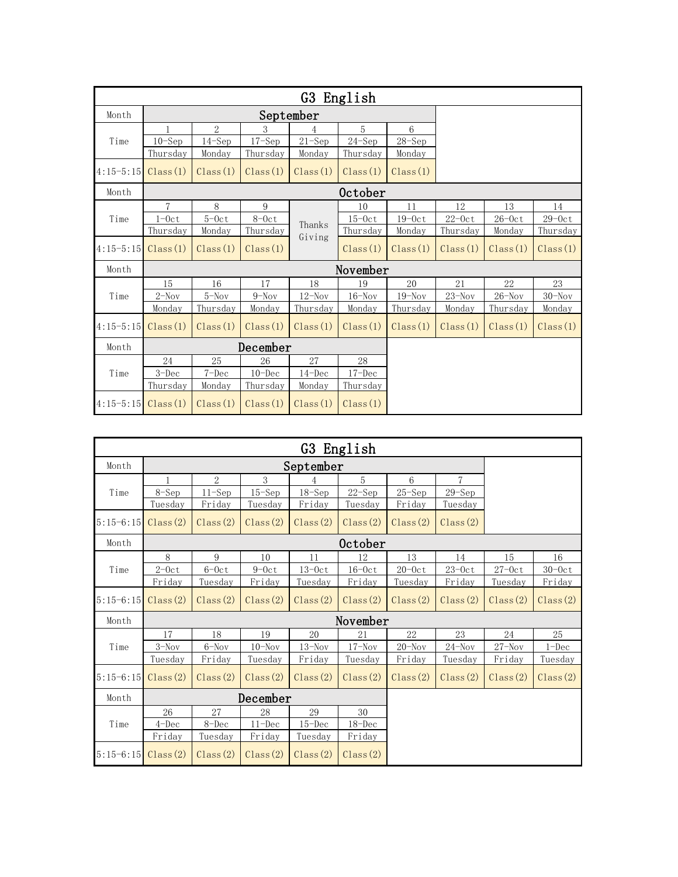| G3 English            |           |            |            |                  |            |            |          |                                      |                |  |  |
|-----------------------|-----------|------------|------------|------------------|------------|------------|----------|--------------------------------------|----------------|--|--|
| Month                 |           |            | September  |                  |            |            |          |                                      |                |  |  |
|                       |           | 2          | 3          |                  | 5          | 6          |          |                                      |                |  |  |
| Time                  | 10–Sep    | $14 - Sep$ | $17 - Sep$ | $21 -$ Sep       | $24 - Sep$ | $28 - Sep$ |          |                                      |                |  |  |
|                       | Thursday  | Monday     | Thursday   | Monday           | Thursday   | Monday     |          |                                      |                |  |  |
| $4:15-5:15$           | Class(1)  | Class(1)   | Class(1)   | Class(1)         | Class(1)   | Class(1)   |          |                                      |                |  |  |
| Month                 | October   |            |            |                  |            |            |          |                                      |                |  |  |
|                       | 7         | 8          | 9          | Thanks<br>Giving | 10         | 11         | 12       | 13                                   | 14             |  |  |
| Time                  | $1 - 0ct$ | $5-0ct$    | $8-0ct$    |                  | $15-0ct$   | $19-0ct$   | $22-0ct$ | $26\text{--}0\mathrm{c}\,\mathrm{t}$ | $29-0ct$       |  |  |
|                       | Thursday  | Monday     | Thursday   |                  | Thursday   | Monday     | Thursday | Monday                               | Thursday       |  |  |
| $4:15-5:15$           | Class(1)  | Class(1)   | Class(1)   |                  | Class(1)   | Class(1)   | Class(1) | Class(1)                             | Class(1)       |  |  |
| Month                 | November  |            |            |                  |            |            |          |                                      |                |  |  |
|                       | 15        | 16         | 17         | 18               | 19         | 20         | 21       | 22                                   | 23             |  |  |
| Time                  | $2-Nov$   | $5-Nov$    | $9-Nov$    | $12$ –Nov        | $16 -$ Nov | $19-Nov$   | $23-Nov$ | $26 - Nov$                           | $30$ –Nov $\,$ |  |  |
| Month<br>Time         | Monday    | Thursday   | Monday     | Thursday         | Monday     | Thursday   | Monday   | Thursday                             | Monday         |  |  |
| $4:15-5:15$           | Class(1)  | Class(1)   | Class(1)   | Class(1)         | Class(1)   | Class(1)   | Class(1) | Class(1)                             | Class(1)       |  |  |
|                       |           |            | December   |                  |            |            |          |                                      |                |  |  |
|                       | 24        | 25         | 26         | 27               | 28         |            |          |                                      |                |  |  |
|                       | 3–Dec     | $7 - Dec$  | $10 - Dec$ | $14 - Dec$       | $17 - Dec$ |            |          |                                      |                |  |  |
|                       | Thursday  | Monday     | Thursday   | Monday           | Thursday   |            |          |                                      |                |  |  |
| $4:15-5:15$ Class (1) |           | Class(1)   | Class(1)   | Class(1)         | Class(1)   |            |          |                                      |                |  |  |

| G3 English            |           |                |            |            |            |            |                |                                      |           |  |
|-----------------------|-----------|----------------|------------|------------|------------|------------|----------------|--------------------------------------|-----------|--|
| Month                 | September |                |            |            |            |            |                |                                      |           |  |
|                       |           | $\overline{2}$ | 3          |            | 5          | 6          | $\overline{7}$ |                                      |           |  |
| Time                  | $8-Sep$   | $11-Sep$       | 15–Sep     | $18 - Sep$ | $22 - Sep$ | $25 - Sep$ | $29 - Sep$     |                                      |           |  |
|                       | Tuesday   | Friday         | Tuesday    | Friday     | Tuesday    | Friday     | Tuesday        |                                      |           |  |
| $5:15-6:15$ Class (2) |           | Class(2)       | Class(2)   | Class(2)   | Class(2)   | Class(2)   | Class(2)       |                                      |           |  |
| Month                 | October   |                |            |            |            |            |                |                                      |           |  |
|                       | 8         | 9              | 10         | 11         | 12         | 13         | 14             | 15                                   | 16        |  |
| Time                  | $2-0ct$   | $6-0ct$        | $9-0ct$    | $13-0ct$   | $16-0ct$   | $20-0ct$   | $23-0ct$       | $27\text{--}0\mathrm{c}\,\mathrm{t}$ | $30-0ct$  |  |
|                       | Friday    | Tuesday        | Friday     | Tuesday    | Friday     | Tuesday    | Friday         | Tuesday                              | Friday    |  |
| $5:15-6:15$           | Class(2)  | Class(2)       | Class(2)   | Class(2)   | Class(2)   | Class(2)   | Class(2)       | Class(2)                             | Class(2)  |  |
| Month                 |           |                |            |            |            |            |                |                                      |           |  |
|                       | 17        | 18             | 19         | 20         | 21         | 22         | 23             | 24                                   | 25        |  |
| Time                  | $3-Nov$   | $6-Nov$        | $10-Nov$   | $13-Nov$   | $17 - Nov$ | $20 -$ Nov | $24 - Nov$     | $27 - Nov$                           | $1 - Dec$ |  |
|                       | Tuesday   | Friday         | Tuesday    | Friday     | Tuesday    | Friday     | Tuesday        | Friday                               | Tuesday   |  |
| $5:15-6:15$ Class (2) |           | Class(2)       | Class(2)   | Class(2)   | Class(2)   | Class(2)   | Class(2)       | Class(2)                             | Class(2)  |  |
| Month                 | December  |                |            |            |            |            |                |                                      |           |  |
| Time                  | 26        | 27             | 28         | 29         | 30         |            |                |                                      |           |  |
|                       | $4$ -Dec  | 8-Dec          | $11 - Dec$ | $15 - Dec$ | $18 - Dec$ |            |                |                                      |           |  |
|                       | Friday    | Tuesday        | Friday     | Tuesday    | Friday     |            |                |                                      |           |  |
| $5:15-6:15$ Class (2) |           | Class(2)       | Class(2)   | Class(2)   | Class(2)   |            |                |                                      |           |  |